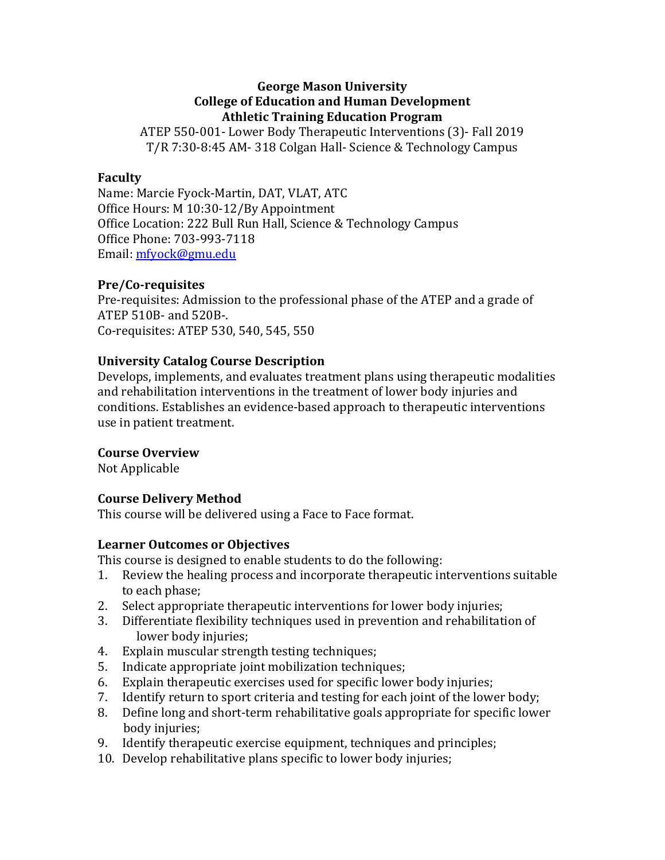### **George Mason University College of Education and Human Development Athletic Training Education Program**

ATEP 550-001- Lower Body Therapeutic Interventions (3)- Fall 2019 T/R 7:30-8:45 AM- 318 Colgan Hall- Science & Technology Campus

### **Faculty**

Name: Marcie Fyock-Martin, DAT, VLAT, ATC Office Hours: M 10:30-12/By Appointment Office Location: 222 Bull Run Hall, Science & Technology Campus Office Phone: 703-993-7118 Email: mfyock@gmu.edu

### **Pre/Co-requisites**

Pre-requisites: Admission to the professional phase of the ATEP and a grade of ATEP 510B- and 520B-. Co-requisites: ATEP 530, 540, 545, 550

# **University Catalog Course Description**

Develops, implements, and evaluates treatment plans using therapeutic modalities and rehabilitation interventions in the treatment of lower body injuries and conditions. Establishes an evidence-based approach to therapeutic interventions use in patient treatment.

### **Course Overview**

Not Applicable

# **Course Delivery Method**

This course will be delivered using a Face to Face format.

### **Learner Outcomes or Objectives**

This course is designed to enable students to do the following:

- 1. Review the healing process and incorporate therapeutic interventions suitable to each phase;
- 2. Select appropriate therapeutic interventions for lower body injuries;
- 3. Differentiate flexibility techniques used in prevention and rehabilitation of lower body injuries;
- 4. Explain muscular strength testing techniques;
- 5. Indicate appropriate joint mobilization techniques;
- 6. Explain therapeutic exercises used for specific lower body injuries:
- 7. Identify return to sport criteria and testing for each joint of the lower body;
- 8. Define long and short-term rehabilitative goals appropriate for specific lower body injuries;
- 9. Identify therapeutic exercise equipment, techniques and principles;
- 10. Develop rehabilitative plans specific to lower body injuries;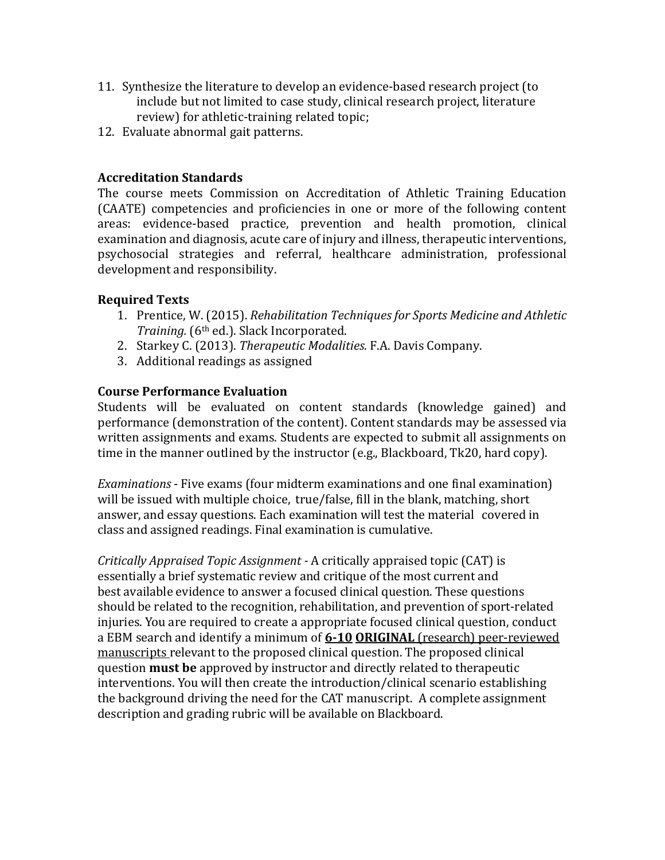- 11. Synthesize the literature to develop an evidence-based research project (to include but not limited to case study, clinical research project, literature review) for athletic-training related topic;
- 12. Evaluate abnormal gait patterns.

# **Accreditation Standards**

The course meets Commission on Accreditation of Athletic Training Education (CAATE) competencies and proficiencies in one or more of the following content areas: evidence-based practice, prevention and health promotion, clinical examination and diagnosis, acute care of injury and illness, therapeutic interventions, psychosocial strategies and referral, healthcare administration, professional development and responsibility.

# **Required Texts**

- 1. Prentice, W. (2015). *Rehabilitation Techniques for Sports Medicine and Athletic Training.* (6<sup>th</sup> ed.). Slack Incorporated.
- 2. Starkey C. (2013). Therapeutic Modalities. F.A. Davis Company.
- 3. Additional readings as assigned

# **Course Performance Evaluation**

Students will be evaluated on content standards (knowledge gained) and performance (demonstration of the content). Content standards may be assessed via written assignments and exams. Students are expected to submit all assignments on time in the manner outlined by the instructor  $(e.g., Blackboard, Tk20, hard copy)$ .

*Examinations* - Five exams (four midterm examinations and one final examination) will be issued with multiple choice, true/false, fill in the blank, matching, short answer, and essay questions. Each examination will test the material covered in class and assigned readings. Final examination is cumulative.

*Critically Appraised Topic Assignment* - A critically appraised topic (CAT) is essentially a brief systematic review and critique of the most current and best available evidence to answer a focused clinical question. These questions should be related to the recognition, rehabilitation, and prevention of sport-related injuries. You are required to create a appropriate focused clinical question, conduct a EBM search and identify a minimum of **6-10 ORIGINAL** (research) peer-reviewed manuscripts relevant to the proposed clinical question. The proposed clinical question **must be** approved by instructor and directly related to therapeutic interventions. You will then create the introduction/clinical scenario establishing the background driving the need for the CAT manuscript. A complete assignment description and grading rubric will be available on Blackboard.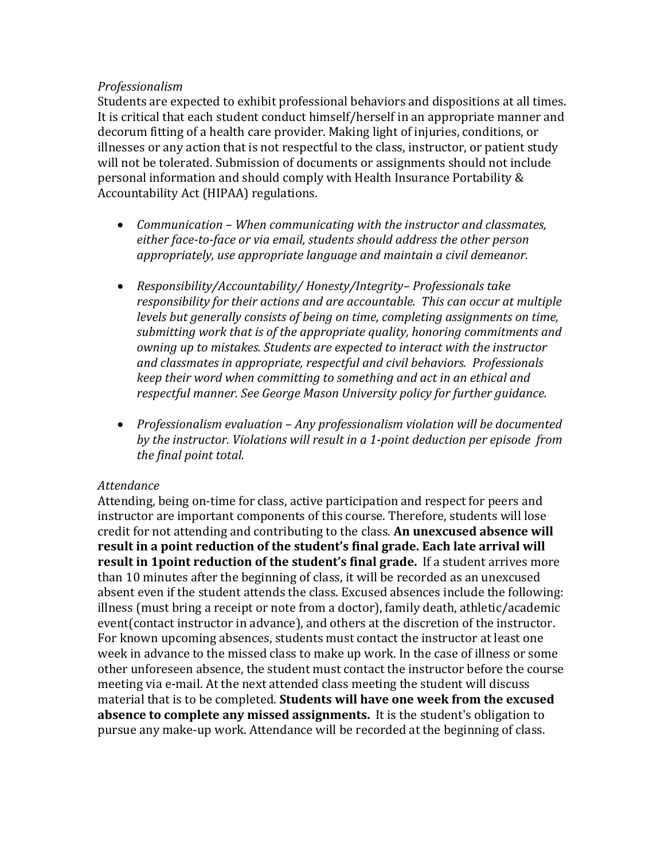### *Professionalism*

Students are expected to exhibit professional behaviors and dispositions at all times. It is critical that each student conduct himself/herself in an appropriate manner and decorum fitting of a health care provider. Making light of injuries, conditions, or illnesses or any action that is not respectful to the class, instructor, or patient study will not be tolerated. Submission of documents or assignments should not include personal information and should comply with Health Insurance Portability & Accountability Act (HIPAA) regulations.

- *Communication When communicating with the instructor and classmates,* either face-to-face or via email, students should address the other person appropriately, use appropriate language and maintain a civil demeanor.
- *Responsibility/Accountability/ Honesty/Integrity-Professionals take* responsibility for their actions and are accountable. This can occur at multiple *levels* but generally consists of being on time, completing assignments on time, submitting work that is of the appropriate quality, honoring commitments and *owning up to mistakes. Students are expected to interact with the instructor and classmates in appropriate, respectful and civil behaviors. Professionals keep* their word when committing to something and act in an ethical and respectful manner. See George Mason University policy for further guidance.
- *Professionalism* evaluation Any professionalism violation will be documented by the instructor. Violations will result in a 1-point deduction per episode from *the final point total.*

# *Attendance*

Attending, being on-time for class, active participation and respect for peers and instructor are important components of this course. Therefore, students will lose credit for not attending and contributing to the class. An unexcused absence will result in a point reduction of the student's final grade. Each late arrival will **result in 1point reduction of the student's final grade.** If a student arrives more than 10 minutes after the beginning of class, it will be recorded as an unexcused absent even if the student attends the class. Excused absences include the following: illness (must bring a receipt or note from a doctor), family death, athletic/academic event(contact instructor in advance), and others at the discretion of the instructor. For known upcoming absences, students must contact the instructor at least one week in advance to the missed class to make up work. In the case of illness or some other unforeseen absence, the student must contact the instructor before the course meeting via e-mail. At the next attended class meeting the student will discuss material that is to be completed. **Students will have one week from the excused absence to complete any missed assignments.** It is the student's obligation to pursue any make-up work. Attendance will be recorded at the beginning of class.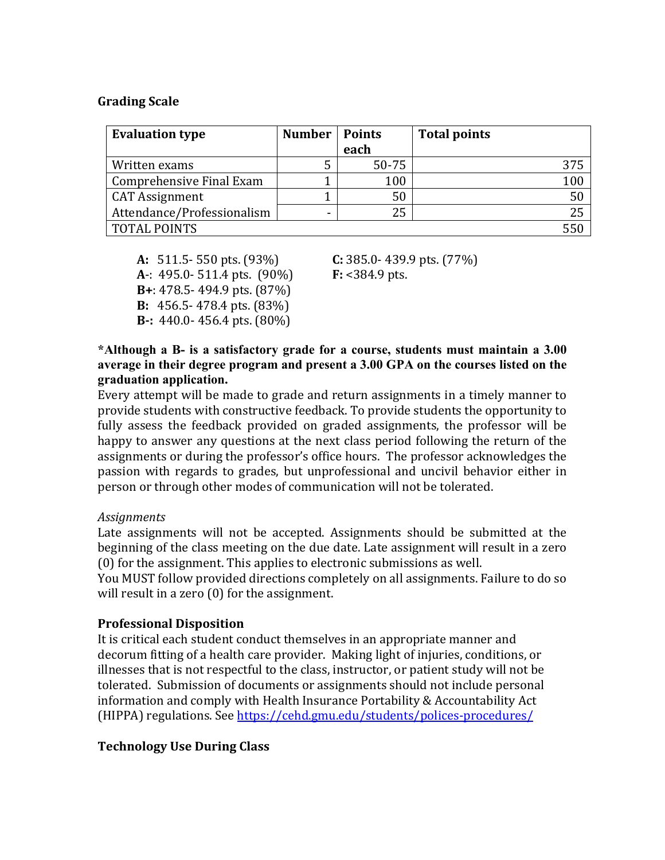### **Grading Scale**

| <b>Evaluation type</b>     | <b>Number</b> | <b>Points</b><br>each | <b>Total points</b> |
|----------------------------|---------------|-----------------------|---------------------|
| Written exams              | 5             | $50 - 75$             | 375                 |
| Comprehensive Final Exam   |               | 100                   | 100                 |
| <b>CAT Assignment</b>      |               | 50                    | 50                  |
| Attendance/Professionalism | -             | 25                    | 25                  |
| <b>TOTAL POINTS</b>        |               |                       |                     |

**A:** 511.5- 550 pts. (93%) **C:** 385.0- 439.9 pts. (77%) **A**-: 495.0- 511.4 pts. (90%) **F:** <384.9 pts. **B**+: 478.5- 494.9 pts. (87%) **B:** 456.5-478.4 pts. (83%) **B**-: 440.0-456.4 pts. (80%)

**\*Although a B- is a satisfactory grade for a course, students must maintain a 3.00 average in their degree program and present a 3.00 GPA on the courses listed on the graduation application.**

Every attempt will be made to grade and return assignments in a timely manner to provide students with constructive feedback. To provide students the opportunity to fully assess the feedback provided on graded assignments, the professor will be happy to answer any questions at the next class period following the return of the assignments or during the professor's office hours. The professor acknowledges the passion with regards to grades, but unprofessional and uncivil behavior either in person or through other modes of communication will not be tolerated.

### *Assignments*

Late assignments will not be accepted. Assignments should be submitted at the beginning of the class meeting on the due date. Late assignment will result in a zero  $(0)$  for the assignment. This applies to electronic submissions as well.

You MUST follow provided directions completely on all assignments. Failure to do so will result in a zero  $(0)$  for the assignment.

### **Professional Disposition**

It is critical each student conduct themselves in an appropriate manner and decorum fitting of a health care provider. Making light of injuries, conditions, or illnesses that is not respectful to the class, instructor, or patient study will not be tolerated. Submission of documents or assignments should not include personal information and comply with Health Insurance Portability & Accountability Act (HIPPA) regulations. See https://cehd.gmu.edu/students/polices-procedures/

# **Technology Use During Class**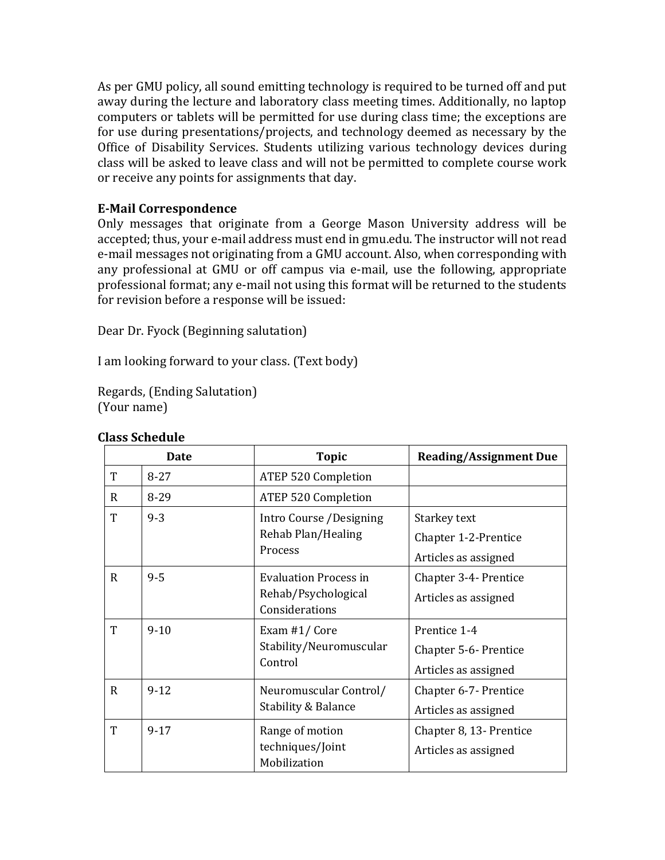As per GMU policy, all sound emitting technology is required to be turned off and put away during the lecture and laboratory class meeting times. Additionally, no laptop computers or tablets will be permitted for use during class time; the exceptions are for use during presentations/projects, and technology deemed as necessary by the Office of Disability Services. Students utilizing various technology devices during class will be asked to leave class and will not be permitted to complete course work or receive any points for assignments that day.

# **E-Mail Correspondence**

Only messages that originate from a George Mason University address will be accepted; thus, your e-mail address must end in gmu.edu. The instructor will not read e-mail messages not originating from a GMU account. Also, when corresponding with any professional at GMU or off campus via e-mail, use the following, appropriate professional format; any e-mail not using this format will be returned to the students for revision before a response will be issued:

Dear Dr. Fyock (Beginning salutation)

I am looking forward to your class. (Text body)

Regards, (Ending Salutation) (Your name)

|              | Date                                                           | <b>Topic</b>                                             | <b>Reading/Assignment Due</b> |
|--------------|----------------------------------------------------------------|----------------------------------------------------------|-------------------------------|
| T            | $8 - 27$                                                       | <b>ATEP 520 Completion</b>                               |                               |
| R            | $8 - 29$                                                       | <b>ATEP 520 Completion</b>                               |                               |
| T            | $9 - 3$<br>Intro Course /Designing<br>Rehab Plan/Healing       | Starkey text                                             |                               |
|              |                                                                |                                                          | Chapter 1-2-Prentice          |
|              |                                                                | Process                                                  | Articles as assigned          |
| $\mathbf R$  | $9 - 5$<br><b>Evaluation Process in</b><br>Rehab/Psychological |                                                          | Chapter 3-4- Prentice         |
|              |                                                                | Articles as assigned                                     |                               |
|              |                                                                | Considerations                                           |                               |
| T            | $9 - 10$                                                       | Exam #1/Core                                             | Prentice 1-4                  |
|              | Stability/Neuromuscular                                        | Chapter 5-6- Prentice                                    |                               |
|              |                                                                | Control                                                  | Articles as assigned          |
| $\mathsf{R}$ | $9-12$                                                         | Neuromuscular Control/<br><b>Stability &amp; Balance</b> | Chapter 6-7- Prentice         |
|              |                                                                |                                                          | Articles as assigned          |
| T            | $9 - 17$                                                       | Range of motion<br>techniques/Joint<br>Mobilization      | Chapter 8, 13- Prentice       |
|              |                                                                |                                                          | Articles as assigned          |

### **Class Schedule**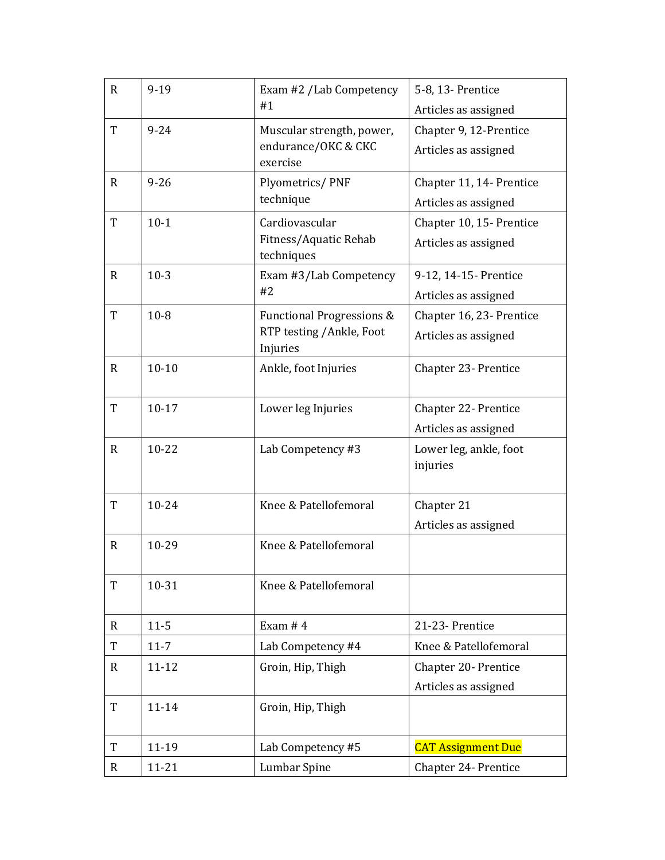| $\mathbf{R}$ | $9-19$    | Exam #2 /Lab Competency<br>#1                                     | 5-8, 13- Prentice                            |
|--------------|-----------|-------------------------------------------------------------------|----------------------------------------------|
|              |           |                                                                   | Articles as assigned                         |
| T            | $9 - 24$  | Muscular strength, power,<br>endurance/OKC & CKC                  | Chapter 9, 12-Prentice                       |
|              |           | exercise                                                          | Articles as assigned                         |
| $\mathbf{R}$ | $9 - 26$  | Plyometrics/PNF                                                   | Chapter 11, 14- Prentice                     |
|              |           | technique                                                         | Articles as assigned                         |
| T            | $10-1$    | Cardiovascular                                                    | Chapter 10, 15- Prentice                     |
|              |           | Fitness/Aquatic Rehab                                             | Articles as assigned                         |
| $\mathbf R$  | $10-3$    | techniques                                                        |                                              |
|              |           | Exam #3/Lab Competency<br>#2                                      | 9-12, 14-15- Prentice                        |
| T            | $10 - 8$  |                                                                   | Articles as assigned                         |
|              |           | <b>Functional Progressions &amp;</b><br>RTP testing / Ankle, Foot | Chapter 16, 23- Prentice                     |
|              |           | Injuries                                                          | Articles as assigned                         |
| $\mathbf R$  | $10 - 10$ | Ankle, foot Injuries                                              | Chapter 23- Prentice                         |
|              |           |                                                                   |                                              |
| T            | $10 - 17$ | Lower leg Injuries                                                | Chapter 22- Prentice                         |
|              |           |                                                                   | Articles as assigned                         |
| $\mathbf{R}$ | $10 - 22$ | Lab Competency #3                                                 | Lower leg, ankle, foot                       |
|              |           |                                                                   | injuries                                     |
| T            | 10-24     | Knee & Patellofemoral                                             | Chapter 21                                   |
|              |           |                                                                   | Articles as assigned                         |
| $\mathbf R$  | 10-29     | Knee & Patellofemoral                                             |                                              |
|              |           |                                                                   |                                              |
| T            | 10-31     | Knee & Patellofemoral                                             |                                              |
| $\mathbf R$  | $11 - 5$  | Exam $# 4$                                                        | 21-23- Prentice                              |
| T            | $11 - 7$  | Lab Competency #4                                                 | Knee & Patellofemoral                        |
|              |           |                                                                   |                                              |
| $\mathbf R$  | $11 - 12$ | Groin, Hip, Thigh                                                 | Chapter 20- Prentice<br>Articles as assigned |
| T            | $11 - 14$ |                                                                   |                                              |
|              |           | Groin, Hip, Thigh                                                 |                                              |
| T            | 11-19     | Lab Competency #5                                                 | <b>CAT Assignment Due</b>                    |
| $\mathbf R$  | $11 - 21$ | Lumbar Spine                                                      | Chapter 24- Prentice                         |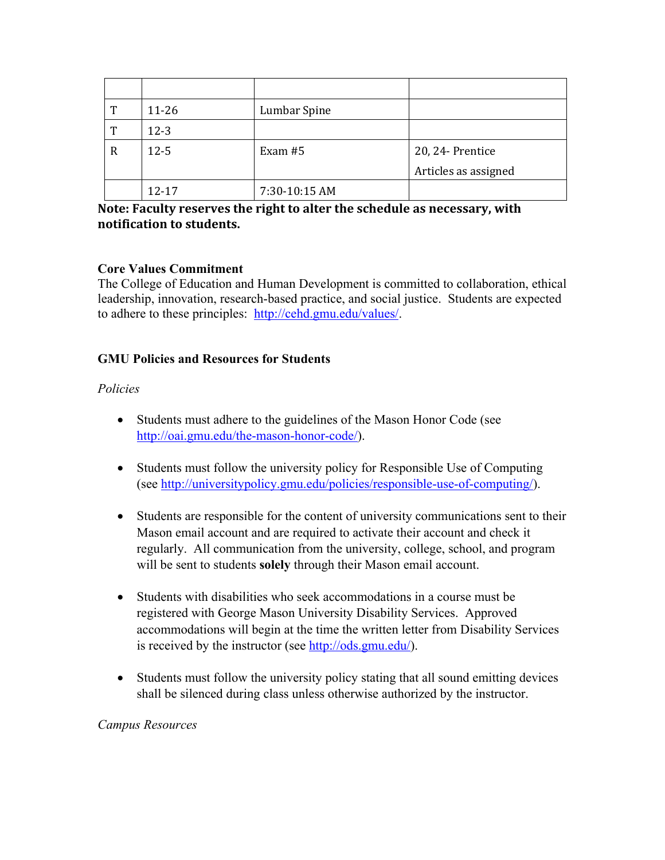| T | $11 - 26$ | Lumbar Spine  |                      |
|---|-----------|---------------|----------------------|
| T | $12-3$    |               |                      |
| R | $12 - 5$  | Exam $#5$     | 20, 24- Prentice     |
|   |           |               | Articles as assigned |
|   | $12 - 17$ | 7:30-10:15 AM |                      |

# Note: Faculty reserves the right to alter the schedule as necessary, with **notification** to students.

# **Core Values Commitment**

The College of Education and Human Development is committed to collaboration, ethical leadership, innovation, research-based practice, and social justice. Students are expected to adhere to these principles: http://cehd.gmu.edu/values/.

# **GMU Policies and Resources for Students**

# *Policies*

- Students must adhere to the guidelines of the Mason Honor Code (see http://oai.gmu.edu/the-mason-honor-code/).
- Students must follow the university policy for Responsible Use of Computing (see http://universitypolicy.gmu.edu/policies/responsible-use-of-computing/).
- Students are responsible for the content of university communications sent to their Mason email account and are required to activate their account and check it regularly. All communication from the university, college, school, and program will be sent to students **solely** through their Mason email account.
- Students with disabilities who seek accommodations in a course must be registered with George Mason University Disability Services. Approved accommodations will begin at the time the written letter from Disability Services is received by the instructor (see http://ods.gmu.edu/).
- Students must follow the university policy stating that all sound emitting devices shall be silenced during class unless otherwise authorized by the instructor.

# *Campus Resources*